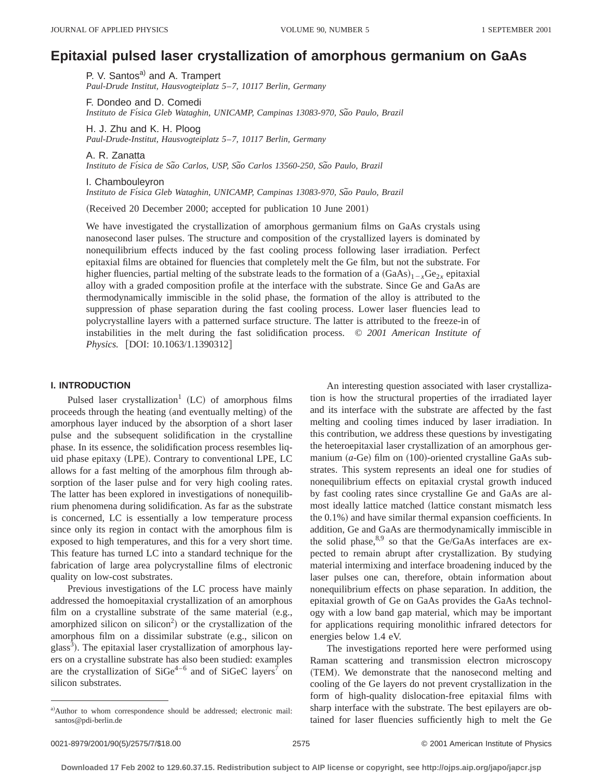# **Epitaxial pulsed laser crystallization of amorphous germanium on GaAs**

P. V. Santos<sup>a)</sup> and A. Trampert *Paul-Drude Institut, Hausvogteiplatz 5*–*7, 10117 Berlin, Germany*

F. Dondeo and D. Comedi Instituto de Física Gleb Wataghin, UNICAMP, Campinas 13083-970, São Paulo, Brazil

H. J. Zhu and K. H. Ploog *Paul-Drude-Institut, Hausvogteiplatz 5*–*7, 10117 Berlin, Germany*

A. R. Zanatta *Instituto de Fı´sica de Sa˜o Carlos, USP, Sa˜o Carlos 13560-250, Sa˜o Paulo, Brazil*

I. Chambouleyron

*Instituto de Fı´sica Gleb Wataghin, UNICAMP, Campinas 13083-970, Sa˜o Paulo, Brazil*

(Received 20 December 2000; accepted for publication 10 June 2001)

We have investigated the crystallization of amorphous germanium films on GaAs crystals using nanosecond laser pulses. The structure and composition of the crystallized layers is dominated by nonequilibrium effects induced by the fast cooling process following laser irradiation. Perfect epitaxial films are obtained for fluencies that completely melt the Ge film, but not the substrate. For higher fluencies, partial melting of the substrate leads to the formation of a  $(GaAs)_{1-x}Ge_{2x}$  epitaxial alloy with a graded composition profile at the interface with the substrate. Since Ge and GaAs are thermodynamically immiscible in the solid phase, the formation of the alloy is attributed to the suppression of phase separation during the fast cooling process. Lower laser fluencies lead to polycrystalline layers with a patterned surface structure. The latter is attributed to the freeze-in of instabilities in the melt during the fast solidification process. © *2001 American Institute of Physics.* [DOI: 10.1063/1.1390312]

## **I. INTRODUCTION**

Pulsed laser crystallization<sup>1</sup> (LC) of amorphous films proceeds through the heating (and eventually melting) of the amorphous layer induced by the absorption of a short laser pulse and the subsequent solidification in the crystalline phase. In its essence, the solidification process resembles liquid phase epitaxy (LPE). Contrary to conventional LPE, LC allows for a fast melting of the amorphous film through absorption of the laser pulse and for very high cooling rates. The latter has been explored in investigations of nonequilibrium phenomena during solidification. As far as the substrate is concerned, LC is essentially a low temperature process since only its region in contact with the amorphous film is exposed to high temperatures, and this for a very short time. This feature has turned LC into a standard technique for the fabrication of large area polycrystalline films of electronic quality on low-cost substrates.

Previous investigations of the LC process have mainly addressed the homoepitaxial crystallization of an amorphous film on a crystalline substrate of the same material  $(e.g.,$ amorphized silicon on silicon<sup>2</sup>) or the crystallization of the amorphous film on a dissimilar substrate (e.g., silicon on glass<sup>3</sup>). The epitaxial laser crystallization of amorphous layers on a crystalline substrate has also been studied: examples are the crystallization of  $SiGe^{4-6}$  and of  $SiGeC$  layers<sup>7</sup> on silicon substrates.

An interesting question associated with laser crystallization is how the structural properties of the irradiated layer and its interface with the substrate are affected by the fast melting and cooling times induced by laser irradiation. In this contribution, we address these questions by investigating the heteroepitaxial laser crystallization of an amorphous germanium  $(a$ -Ge) film on  $(100)$ -oriented crystalline GaAs substrates. This system represents an ideal one for studies of nonequilibrium effects on epitaxial crystal growth induced by fast cooling rates since crystalline Ge and GaAs are almost ideally lattice matched (lattice constant mismatch less the  $0.1\%$ ) and have similar thermal expansion coefficients. In addition, Ge and GaAs are thermodynamically immiscible in the solid phase, $8.9$  so that the Ge/GaAs interfaces are expected to remain abrupt after crystallization. By studying material intermixing and interface broadening induced by the laser pulses one can, therefore, obtain information about nonequilibrium effects on phase separation. In addition, the epitaxial growth of Ge on GaAs provides the GaAs technology with a low band gap material, which may be important for applications requiring monolithic infrared detectors for energies below 1.4 eV.

The investigations reported here were performed using Raman scattering and transmission electron microscopy (TEM). We demonstrate that the nanosecond melting and cooling of the Ge layers do not prevent crystallization in the form of high-quality dislocation-free epitaxial films with sharp interface with the substrate. The best epilayers are obtained for laser fluencies sufficiently high to melt the Ge

a)Author to whom correspondence should be addressed; electronic mail: santos@pdi-berlin.de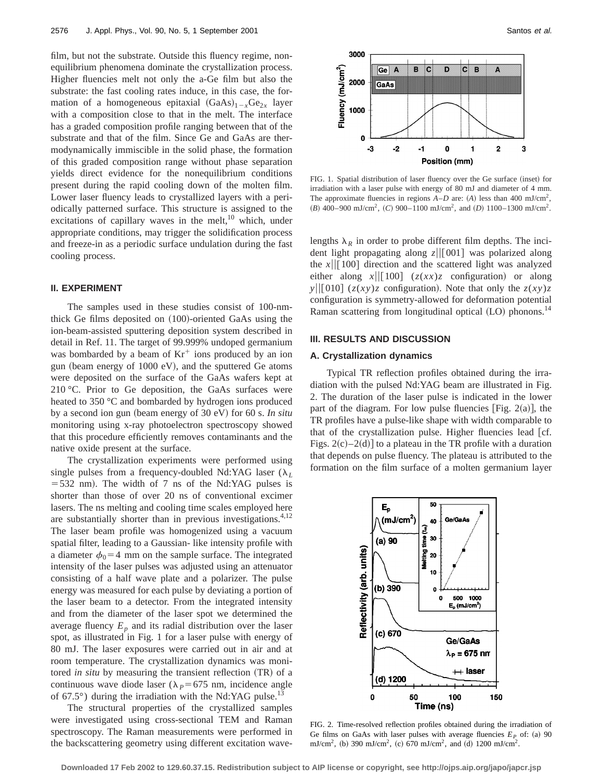film, but not the substrate. Outside this fluency regime, nonequilibrium phenomena dominate the crystallization process. Higher fluencies melt not only the a-Ge film but also the substrate: the fast cooling rates induce, in this case, the formation of a homogeneous epitaxial  $(GaAs)_{1-x}Ge_{2x}$  layer with a composition close to that in the melt. The interface has a graded composition profile ranging between that of the substrate and that of the film. Since Ge and GaAs are thermodynamically immiscible in the solid phase, the formation of this graded composition range without phase separation yields direct evidence for the nonequilibrium conditions present during the rapid cooling down of the molten film. Lower laser fluency leads to crystallized layers with a periodically patterned surface. This structure is assigned to the excitations of capillary waves in the melt, $^{10}$  which, under appropriate conditions, may trigger the solidification process and freeze-in as a periodic surface undulation during the fast cooling process.

#### **II. EXPERIMENT**

The samples used in these studies consist of 100-nmthick Ge films deposited on  $(100)$ -oriented GaAs using the ion-beam-assisted sputtering deposition system described in detail in Ref. 11. The target of 99.999% undoped germanium was bombarded by a beam of  $Kr<sup>+</sup>$  ions produced by an ion gun (beam energy of  $1000 \text{ eV}$ ), and the sputtered Ge atoms were deposited on the surface of the GaAs wafers kept at 210 °C. Prior to Ge deposition, the GaAs surfaces were heated to 350 °C and bombarded by hydrogen ions produced by a second ion gun (beam energy of 30 eV) for 60 s. *In situ* monitoring using x-ray photoelectron spectroscopy showed that this procedure efficiently removes contaminants and the native oxide present at the surface.

The crystallization experiments were performed using single pulses from a frequency-doubled Nd:YAG laser  $(\lambda_L)$  $=$  532 nm). The width of 7 ns of the Nd:YAG pulses is shorter than those of over 20 ns of conventional excimer lasers. The ns melting and cooling time scales employed here are substantially shorter than in previous investigations. $4,12$ The laser beam profile was homogenized using a vacuum spatial filter, leading to a Gaussian- like intensity profile with a diameter  $\phi_0$ =4 mm on the sample surface. The integrated intensity of the laser pulses was adjusted using an attenuator consisting of a half wave plate and a polarizer. The pulse energy was measured for each pulse by deviating a portion of the laser beam to a detector. From the integrated intensity and from the diameter of the laser spot we determined the average fluency  $E_p$  and its radial distribution over the laser spot, as illustrated in Fig. 1 for a laser pulse with energy of 80 mJ. The laser exposures were carried out in air and at room temperature. The crystallization dynamics was monitored *in situ* by measuring the transient reflection (TR) of a continuous wave diode laser ( $\lambda_p$ =675 nm, incidence angle of 67.5 $\degree$ ) during the irradiation with the Nd:YAG pulse.<sup>1</sup>

The structural properties of the crystallized samples were investigated using cross-sectional TEM and Raman spectroscopy. The Raman measurements were performed in the backscattering geometry using different excitation wave-



FIG. 1. Spatial distribution of laser fluency over the Ge surface (inset) for irradiation with a laser pulse with energy of 80 mJ and diameter of 4 mm. The approximate fluencies in regions  $A-D$  are:  $(A)$  less than 400 mJ/cm<sup>2</sup>,  $(B)$  400–900 mJ/cm<sup>2</sup>,  $(C)$  900–1100 mJ/cm<sup>2</sup>, and  $(D)$  1100–1300 mJ/cm<sup>2</sup>.

lengths  $\lambda_R$  in order to probe different film depths. The incident light propagating along  $z||[001]$  was polarized along the  $x \sim ||[100]$  direction and the scattered light was analyzed either along  $x \mid \mid [100]$  ( $z(xx)z$  configuration) or along *y*| $[010]$  (*z*(*xy*)*z* configuration). Note that only the *z*(*xy*)*z* configuration is symmetry-allowed for deformation potential Raman scattering from longitudinal optical  $(LO)$  phonons.<sup>14</sup>

### **III. RESULTS AND DISCUSSION**

### **A. Crystallization dynamics**

Typical TR reflection profiles obtained during the irradiation with the pulsed Nd:YAG beam are illustrated in Fig. 2. The duration of the laser pulse is indicated in the lower part of the diagram. For low pulse fluencies [Fig.  $2(a)$ ], the TR profiles have a pulse-like shape with width comparable to that of the crystallization pulse. Higher fluencies lead  $[cf.$ Figs.  $2(c) - 2(d)$  to a plateau in the TR profile with a duration that depends on pulse fluency. The plateau is attributed to the formation on the film surface of a molten germanium layer



FIG. 2. Time-resolved reflection profiles obtained during the irradiation of Ge films on GaAs with laser pulses with average fluencies  $E<sub>P</sub>$  of: (a) 90 mJ/cm<sup>2</sup>, (b) 390 mJ/cm<sup>2</sup>, (c) 670 mJ/cm<sup>2</sup>, and (d) 1200 mJ/cm<sup>2</sup>.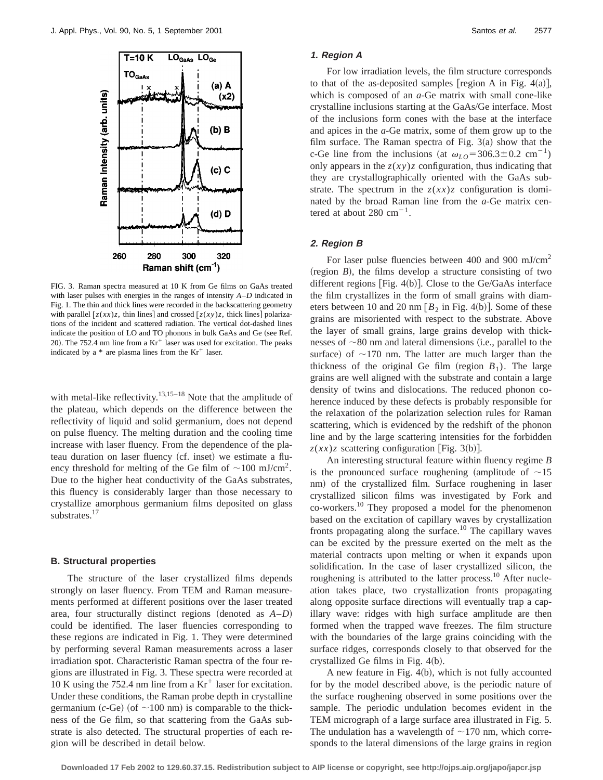

FIG. 3. Raman spectra measured at 10 K from Ge films on GaAs treated with laser pulses with energies in the ranges of intensity *A*–*D* indicated in Fig. 1. The thin and thick lines were recorded in the backscattering geometry with parallel  $[z(xx)z$ , thin lines] and crossed  $[z(xy)z]$ , thick lines] polarizations of the incident and scattered radiation. The vertical dot-dashed lines indicate the position of LO and TO phonons in bulk GaAs and Ge (see Ref. 20). The 752.4 nm line from a  $Kr^+$  laser was used for excitation. The peaks indicated by a  $*$  are plasma lines from the  $Kr^+$  laser.

with metal-like reflectivity.<sup>13,15–18</sup> Note that the amplitude of the plateau, which depends on the difference between the reflectivity of liquid and solid germanium, does not depend on pulse fluency. The melting duration and the cooling time increase with laser fluency. From the dependence of the plateau duration on laser fluency (cf. inset) we estimate a fluency threshold for melting of the Ge film of  $\sim 100$  mJ/cm<sup>2</sup>. Due to the higher heat conductivity of the GaAs substrates, this fluency is considerably larger than those necessary to crystallize amorphous germanium films deposited on glass substrates.<sup>17</sup>

#### **B. Structural properties**

The structure of the laser crystallized films depends strongly on laser fluency. From TEM and Raman measurements performed at different positions over the laser treated area, four structurally distinct regions (denoted as  $A-D$ ) could be identified. The laser fluencies corresponding to these regions are indicated in Fig. 1. They were determined by performing several Raman measurements across a laser irradiation spot. Characteristic Raman spectra of the four regions are illustrated in Fig. 3. These spectra were recorded at 10 K using the 752.4 nm line from a  $Kr<sup>+</sup>$  laser for excitation. Under these conditions, the Raman probe depth in crystalline germanium  $(c$ -Ge) (of  $\sim$ 100 nm) is comparable to the thickness of the Ge film, so that scattering from the GaAs substrate is also detected. The structural properties of each region will be described in detail below.

#### **1. Region A**

For low irradiation levels, the film structure corresponds to that of the as-deposited samples [region A in Fig.  $4(a)$ ], which is composed of an *a*-Ge matrix with small cone-like crystalline inclusions starting at the GaAs/Ge interface. Most of the inclusions form cones with the base at the interface and apices in the *a*-Ge matrix, some of them grow up to the film surface. The Raman spectra of Fig.  $3(a)$  show that the c-Ge line from the inclusions (at  $\omega_{LO} = 306.3 \pm 0.2 \text{ cm}^{-1}$ ) only appears in the  $z(xy)z$  configuration, thus indicating that they are crystallographically oriented with the GaAs substrate. The spectrum in the  $z(xx)z$  configuration is dominated by the broad Raman line from the *a*-Ge matrix centered at about 280  $cm^{-1}$ .

#### **2. Region B**

For laser pulse fluencies between 400 and 900 mJ/cm<sup>2</sup>  $(r_{\text{region}} B)$ , the films develop a structure consisting of two different regions [Fig.  $4(b)$ ]. Close to the Ge/GaAs interface the film crystallizes in the form of small grains with diameters between 10 and 20 nm  $[B_2 \text{ in Fig. 4(b)}]$ . Some of these grains are misoriented with respect to the substrate. Above the layer of small grains, large grains develop with thicknesses of  $\sim80$  nm and lateral dimensions (i.e., parallel to the surface) of  $\sim$ 170 nm. The latter are much larger than the thickness of the original Ge film (region  $B_1$ ). The large grains are well aligned with the substrate and contain a large density of twins and dislocations. The reduced phonon coherence induced by these defects is probably responsible for the relaxation of the polarization selection rules for Raman scattering, which is evidenced by the redshift of the phonon line and by the large scattering intensities for the forbidden  $z(xx)z$  scattering configuration [Fig. 3(b)].

An interesting structural feature within fluency regime *B* is the pronounced surface roughening (amplitude of  $\sim$ 15 nm) of the crystallized film. Surface roughening in laser crystallized silicon films was investigated by Fork and co-workers.10 They proposed a model for the phenomenon based on the excitation of capillary waves by crystallization fronts propagating along the surface.<sup>10</sup> The capillary waves can be excited by the pressure exerted on the melt as the material contracts upon melting or when it expands upon solidification. In the case of laser crystallized silicon, the roughening is attributed to the latter process.<sup>10</sup> After nucleation takes place, two crystallization fronts propagating along opposite surface directions will eventually trap a capillary wave: ridges with high surface amplitude are then formed when the trapped wave freezes. The film structure with the boundaries of the large grains coinciding with the surface ridges, corresponds closely to that observed for the crystallized Ge films in Fig.  $4(b)$ .

A new feature in Fig.  $4(b)$ , which is not fully accounted for by the model described above, is the periodic nature of the surface roughening observed in some positions over the sample. The periodic undulation becomes evident in the TEM micrograph of a large surface area illustrated in Fig. 5. The undulation has a wavelength of  $\sim$ 170 nm, which corresponds to the lateral dimensions of the large grains in region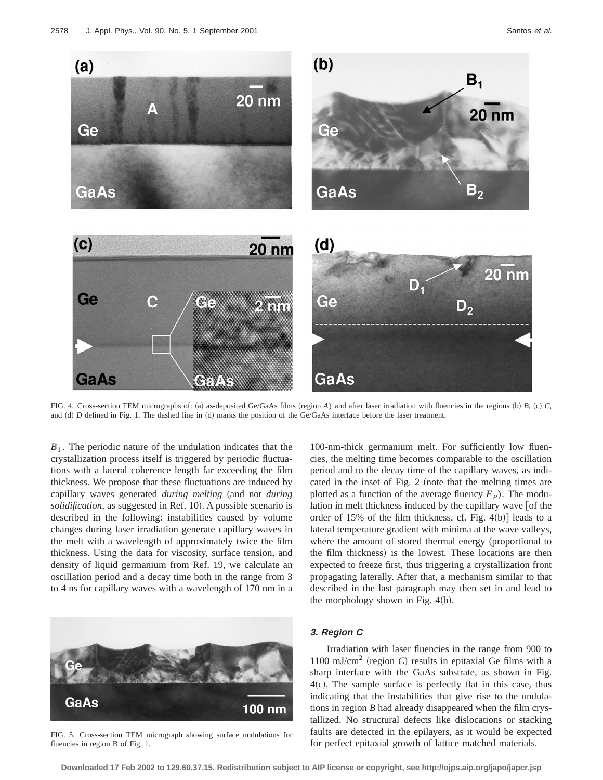

FIG. 4. Cross-section TEM micrographs of: (a) as-deposited Ge/GaAs films (region  $A$ ) and after laser irradiation with fluencies in the regions (b)  $B$ , (c)  $C$ , and (d) *D* defined in Fig. 1. The dashed line in (d) marks the position of the Ge/GaAs interface before the laser treatment.

 $B_1$ . The periodic nature of the undulation indicates that the crystallization process itself is triggered by periodic fluctuations with a lateral coherence length far exceeding the film thickness. We propose that these fluctuations are induced by capillary waves generated *during melting* (and not *during solidification*, as suggested in Ref. 10). A possible scenario is described in the following: instabilities caused by volume changes during laser irradiation generate capillary waves in the melt with a wavelength of approximately twice the film thickness. Using the data for viscosity, surface tension, and density of liquid germanium from Ref. 19, we calculate an oscillation period and a decay time both in the range from 3 to 4 ns for capillary waves with a wavelength of 170 nm in a



FIG. 5. Cross-section TEM micrograph showing surface undulations for fluencies in region B of Fig. 1.

100-nm-thick germanium melt. For sufficiently low fluencies, the melting time becomes comparable to the oscillation period and to the decay time of the capillary waves, as indicated in the inset of Fig.  $2$  (note that the melting times are plotted as a function of the average fluency  $E<sub>P</sub>$ ). The modulation in melt thickness induced by the capillary wave [of the order of 15% of the film thickness, cf. Fig.  $4(b)$ ] leads to a lateral temperature gradient with minima at the wave valleys, where the amount of stored thermal energy (proportional to the film thickness) is the lowest. These locations are then expected to freeze first, thus triggering a crystallization front propagating laterally. After that, a mechanism similar to that described in the last paragraph may then set in and lead to the morphology shown in Fig.  $4(b)$ .

## **3. Region C**

Irradiation with laser fluencies in the range from 900 to 1100 mJ/cm<sup>2</sup> (region  $C$ ) results in epitaxial Ge films with a sharp interface with the GaAs substrate, as shown in Fig.  $4(c)$ . The sample surface is perfectly flat in this case, thus indicating that the instabilities that give rise to the undulations in region *B* had already disappeared when the film crystallized. No structural defects like dislocations or stacking faults are detected in the epilayers, as it would be expected for perfect epitaxial growth of lattice matched materials.

**Downloaded 17 Feb 2002 to 129.60.37.15. Redistribution subject to AIP license or copyright, see http://ojps.aip.org/japo/japcr.jsp**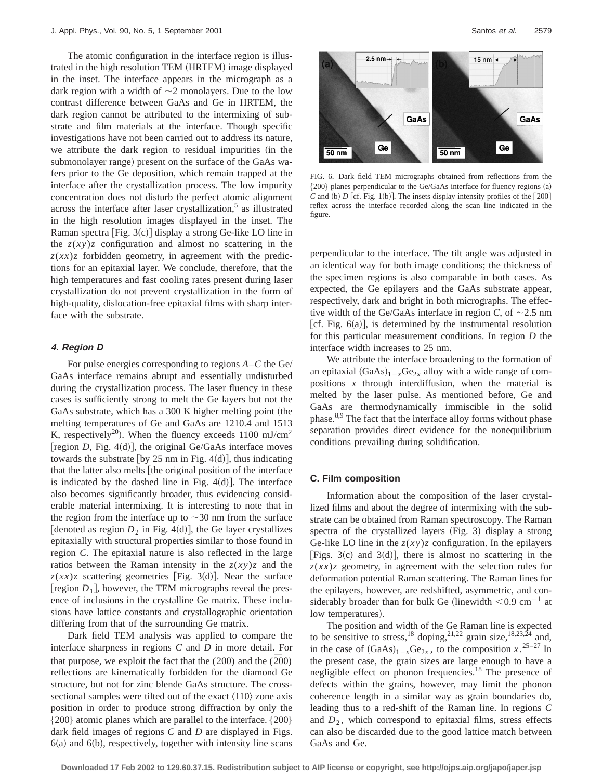The atomic configuration in the interface region is illustrated in the high resolution TEM (HRTEM) image displayed in the inset. The interface appears in the micrograph as a dark region with a width of  $\sim$ 2 monolayers. Due to the low contrast difference between GaAs and Ge in HRTEM, the dark region cannot be attributed to the intermixing of substrate and film materials at the interface. Though specific investigations have not been carried out to address its nature, we attribute the dark region to residual impurities (in the submonolayer range) present on the surface of the GaAs wafers prior to the Ge deposition, which remain trapped at the interface after the crystallization process. The low impurity concentration does not disturb the perfect atomic alignment across the interface after laser crystallization, $5$  as illustrated in the high resolution images displayed in the inset. The Raman spectra  $[Fig. 3(c)]$  display a strong Ge-like LO line in the  $z(xy)z$  configuration and almost no scattering in the  $z(xx)z$  forbidden geometry, in agreement with the predictions for an epitaxial layer. We conclude, therefore, that the high temperatures and fast cooling rates present during laser crystallization do not prevent crystallization in the form of high-quality, dislocation-free epitaxial films with sharp interface with the substrate.

#### **4. Region D**

For pulse energies corresponding to regions *A*–*C* the Ge/ GaAs interface remains abrupt and essentially undisturbed during the crystallization process. The laser fluency in these cases is sufficiently strong to melt the Ge layers but not the GaAs substrate, which has a 300 K higher melting point (the melting temperatures of Ge and GaAs are 1210.4 and 1513 K, respectively<sup>20</sup>). When the fluency exceeds 1100 mJ/cm<sup>2</sup> [region  $D$ , Fig. 4(d)], the original Ge/GaAs interface moves towards the substrate [by 25 nm in Fig. 4 $(d)$ ], thus indicating that the latter also melts [the original position of the interface is indicated by the dashed line in Fig.  $4(d)$ ]. The interface also becomes significantly broader, thus evidencing considerable material intermixing. It is interesting to note that in the region from the interface up to  $\sim$ 30 nm from the surface [denoted as region  $D_2$  in Fig. 4(d)], the Ge layer crystallizes epitaxially with structural properties similar to those found in region *C*. The epitaxial nature is also reflected in the large ratios between the Raman intensity in the  $z(xy)z$  and the  $z(xx)z$  scattering geometries [Fig. 3(d)]. Near the surface [region  $D_1$ ], however, the TEM micrographs reveal the presence of inclusions in the crystalline Ge matrix. These inclusions have lattice constants and crystallographic orientation differing from that of the surrounding Ge matrix.

Dark field TEM analysis was applied to compare the interface sharpness in regions *C* and *D* in more detail. For that purpose, we exploit the fact that the  $(200)$  and the  $(\overline{2}00)$ reflections are kinematically forbidden for the diamond Ge structure, but not for zinc blende GaAs structure. The crosssectional samples were tilted out of the exact  $\langle 110 \rangle$  zone axis position in order to produce strong diffraction by only the  ${200}$  atomic planes which are parallel to the interface.  ${200}$ dark field images of regions *C* and *D* are displayed in Figs.  $6(a)$  and  $6(b)$ , respectively, together with intensity line scans



FIG. 6. Dark field TEM micrographs obtained from reflections from the  ${200}$  planes perpendicular to the Ge/GaAs interface for fluency regions (a)  $C$  and (b)  $D$  [cf. Fig. 1(b)]. The insets display intensity profiles of the  $[200]$ reflex across the interface recorded along the scan line indicated in the figure.

perpendicular to the interface. The tilt angle was adjusted in an identical way for both image conditions; the thickness of the specimen regions is also comparable in both cases. As expected, the Ge epilayers and the GaAs substrate appear, respectively, dark and bright in both micrographs. The effective width of the Ge/GaAs interface in region *C*, of  $\sim$ 2.5 nm [cf. Fig.  $6(a)$ ], is determined by the instrumental resolution for this particular measurement conditions. In region *D* the interface width increases to 25 nm.

We attribute the interface broadening to the formation of an epitaxial  $(GaAs)_{1-x}Ge_{2x}$  alloy with a wide range of compositions *x* through interdiffusion, when the material is melted by the laser pulse. As mentioned before, Ge and GaAs are thermodynamically immiscible in the solid phase. $8,9$  The fact that the interface alloy forms without phase separation provides direct evidence for the nonequilibrium conditions prevailing during solidification.

#### **C. Film composition**

Information about the composition of the laser crystallized films and about the degree of intermixing with the substrate can be obtained from Raman spectroscopy. The Raman spectra of the crystallized layers  $(Fig. 3)$  display a strong Ge-like LO line in the  $z(xy)z$  configuration. In the epilayers [Figs. 3(c) and 3(d)], there is almost no scattering in the  $z(xx)z$  geometry, in agreement with the selection rules for deformation potential Raman scattering. The Raman lines for the epilayers, however, are redshifted, asymmetric, and considerably broader than for bulk Ge (linewidth  $< 0.9$  cm<sup>-1</sup> at low temperatures).

The position and width of the Ge Raman line is expected to be sensitive to stress,<sup>18</sup> doping,<sup>21,22</sup> grain size,<sup>18,23,24</sup> and, in the case of  $(GaAs)_{1-x}Ge_{2x}$ , to the composition  $x^{25-27}$  In the present case, the grain sizes are large enough to have a negligible effect on phonon frequencies.<sup>18</sup> The presence of defects within the grains, however, may limit the phonon coherence length in a similar way as grain boundaries do, leading thus to a red-shift of the Raman line. In regions *C* and  $D_2$ , which correspond to epitaxial films, stress effects can also be discarded due to the good lattice match between GaAs and Ge.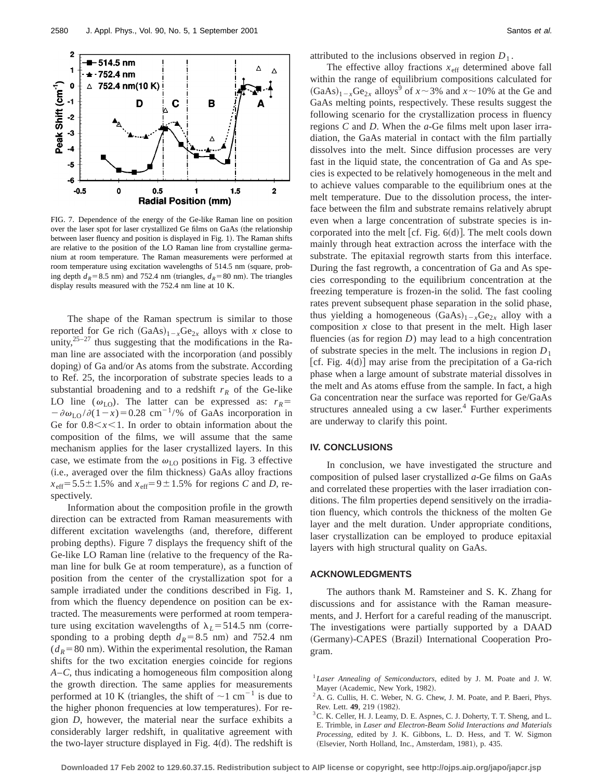

FIG. 7. Dependence of the energy of the Ge-like Raman line on position over the laser spot for laser crystallized Ge films on GaAs (the relationship between laser fluency and position is displayed in Fig. 1). The Raman shifts are relative to the position of the LO Raman line from crystalline germanium at room temperature. The Raman measurements were performed at room temperature using excitation wavelengths of 514.5 nm (square, probing depth  $d_R$ =8.5 nm) and 752.4 nm (triangles,  $d_R$ =80 nm). The triangles display results measured with the 752.4 nm line at 10 K.

The shape of the Raman spectrum is similar to those reported for Ge rich  $(GaAs)_{1-x}Ge_{2x}$  alloys with *x* close to unity, $25-27$  thus suggesting that the modifications in the Raman line are associated with the incorporation (and possibly doping) of Ga and/or As atoms from the substrate. According to Ref. 25, the incorporation of substrate species leads to a substantial broadening and to a redshift  $r_R$  of the Ge-like LO line ( $\omega_{\text{LO}}$ ). The latter can be expressed as:  $r_R$ =  $-\partial \omega_{LO}/\partial (1-x) = 0.28$  cm<sup>-1</sup>/% of GaAs incorporation in Ge for  $0.8 < x < 1$ . In order to obtain information about the composition of the films, we will assume that the same mechanism applies for the laser crystallized layers. In this case, we estimate from the  $\omega_{LO}$  positions in Fig. 3 effective (i.e., averaged over the film thickness) GaAs alloy fractions  $x_{\text{eff}}$ =5.5±1.5% and  $x_{\text{eff}}$ =9±1.5% for regions *C* and *D*, respectively.

Information about the composition profile in the growth direction can be extracted from Raman measurements with different excitation wavelengths (and, therefore, different probing depths). Figure 7 displays the frequency shift of the Ge-like LO Raman line (relative to the frequency of the Raman line for bulk Ge at room temperature), as a function of position from the center of the crystallization spot for a sample irradiated under the conditions described in Fig. 1, from which the fluency dependence on position can be extracted. The measurements were performed at room temperature using excitation wavelengths of  $\lambda_L$ =514.5 nm (corresponding to a probing depth  $d_R = 8.5$  nm) and 752.4 nm  $(d_R=80 \text{ nm})$ . Within the experimental resolution, the Raman shifts for the two excitation energies coincide for regions *A*–*C*, thus indicating a homogeneous film composition along the growth direction. The same applies for measurements performed at 10 K (triangles, the shift of  $\sim$ 1 cm<sup>-1</sup> is due to the higher phonon frequencies at low temperatures). For region *D*, however, the material near the surface exhibits a considerably larger redshift, in qualitative agreement with the two-layer structure displayed in Fig.  $4(d)$ . The redshift is attributed to the inclusions observed in region  $D_1$ .

The effective alloy fractions  $x_{\text{eff}}$  determined above fall within the range of equilibrium compositions calculated for  $(GaAs)<sub>1-x</sub>Ge<sub>2x</sub>$  alloys<sup>9</sup> of  $x \sim 3\%$  and  $x \sim 10\%$  at the Ge and GaAs melting points, respectively. These results suggest the following scenario for the crystallization process in fluency regions *C* and *D*. When the *a*-Ge films melt upon laser irradiation, the GaAs material in contact with the film partially dissolves into the melt. Since diffusion processes are very fast in the liquid state, the concentration of Ga and As species is expected to be relatively homogeneous in the melt and to achieve values comparable to the equilibrium ones at the melt temperature. Due to the dissolution process, the interface between the film and substrate remains relatively abrupt even when a large concentration of substrate species is incorporated into the melt [cf. Fig.  $6(d)$ ]. The melt cools down mainly through heat extraction across the interface with the substrate. The epitaxial regrowth starts from this interface. During the fast regrowth, a concentration of Ga and As species corresponding to the equilibrium concentration at the freezing temperature is frozen-in the solid. The fast cooling rates prevent subsequent phase separation in the solid phase, thus yielding a homogeneous  $(GaAs)<sub>1-x</sub>Ge<sub>2x</sub>$  alloy with a composition *x* close to that present in the melt. High laser fluencies (as for region  $D$ ) may lead to a high concentration of substrate species in the melt. The inclusions in region  $D_1$ [cf. Fig.  $4(d)$ ] may arise from the precipitation of a Ga-rich phase when a large amount of substrate material dissolves in the melt and As atoms effuse from the sample. In fact, a high Ga concentration near the surface was reported for Ge/GaAs structures annealed using a  $cw$  laser.<sup>4</sup> Further experiments are underway to clarify this point.

#### **IV. CONCLUSIONS**

In conclusion, we have investigated the structure and composition of pulsed laser crystallized *a*-Ge films on GaAs and correlated these properties with the laser irradiation conditions. The film properties depend sensitively on the irradiation fluency, which controls the thickness of the molten Ge layer and the melt duration. Under appropriate conditions, laser crystallization can be employed to produce epitaxial layers with high structural quality on GaAs.

### **ACKNOWLEDGMENTS**

The authors thank M. Ramsteiner and S. K. Zhang for discussions and for assistance with the Raman measurements, and J. Herfort for a careful reading of the manuscript. The investigations were partially supported by a DAAD (Germany)-CAPES (Brazil) International Cooperation Program.

<sup>1</sup>*Laser Annealing of Semiconductors*, edited by J. M. Poate and J. W. Mayer (Academic, New York, 1982).

<sup>&</sup>lt;sup>2</sup>A. G. Cullis, H. C. Weber, N. G. Chew, J. M. Poate, and P. Baeri, Phys. Rev. Lett. **49**, 219 (1982).

<sup>&</sup>lt;sup>3</sup> C. K. Celler, H. J. Leamy, D. E. Aspnes, C. J. Doherty, T. T. Sheng, and L. E. Trimble, in *Laser and Electron-Beam Solid Interactions and Materials Processing*, edited by J. K. Gibbons, L. D. Hess, and T. W. Sigmon (Elsevier, North Holland, Inc., Amsterdam, 1981), p. 435.